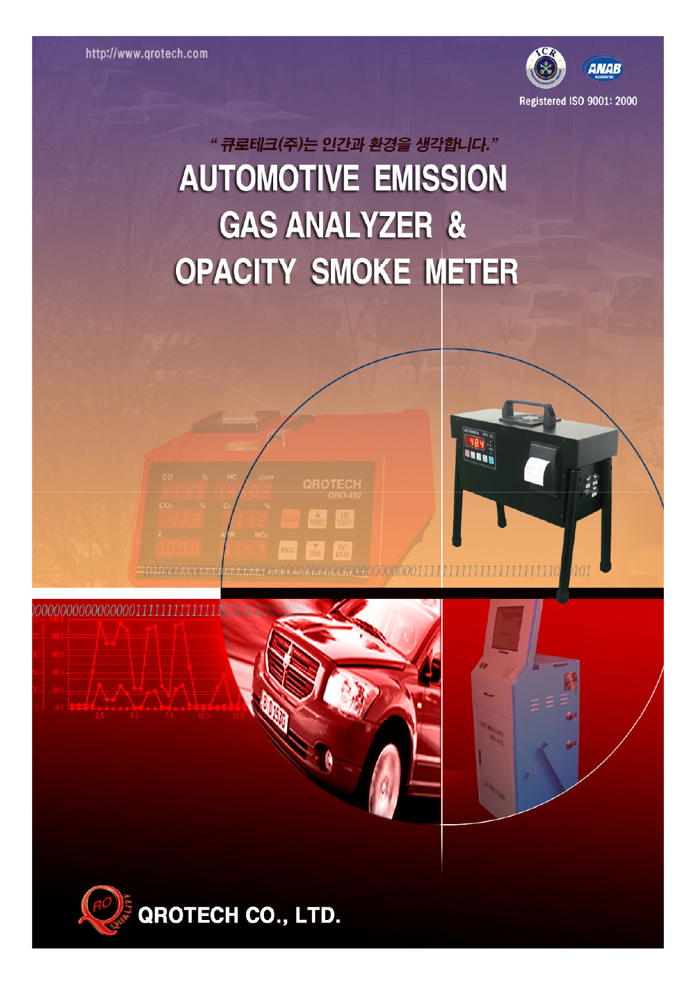0000000000000000011111



**Baar** 

# "큐로테크(주)는 인간과 환경을 생각합니다." **AUTOMOTIVE EMISSION GAS ANALYZER & OPACITY SMOKE METER**

**DROTEC** 



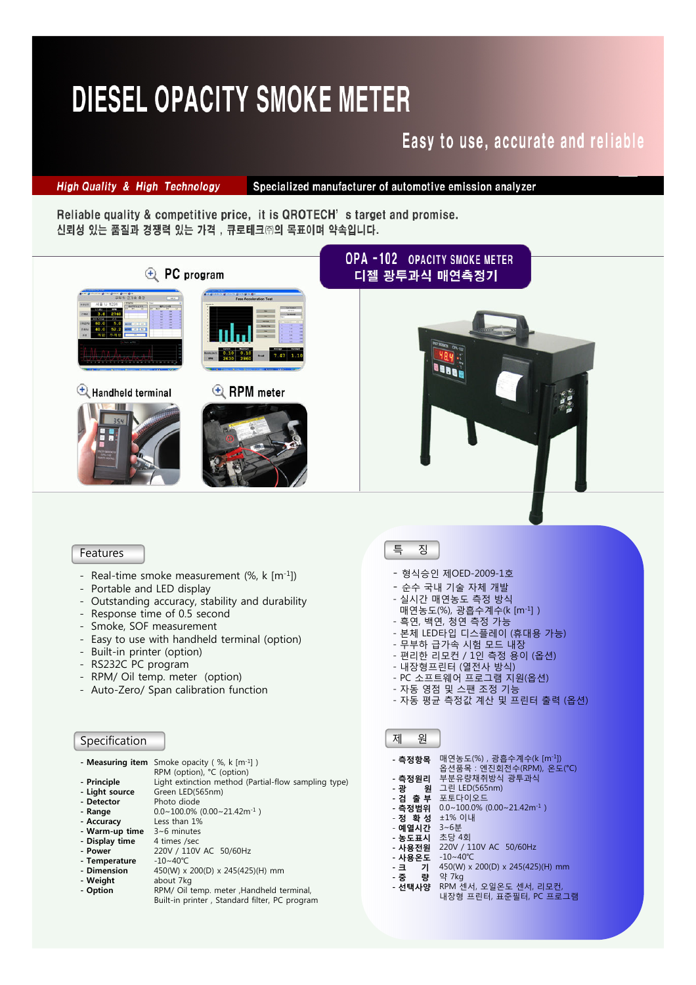# **DIESEL OPACITY SMOKE METER**

## Easy to use, accurate and reliable

**High Quality & High Technology** 

Specialized manufacturer of automotive emission analyzer

Reliable quality & competitive price, it is QROTECH's target and promise. 신뢰성 있는 품질과 경쟁력 있는 가격, 큐로테크㈜의 목표이며 약속입니다.



#### Features

- Real-time smoke measurement  $(\% , k [m^{-1}])$
- Portable and LED display
- Outstanding accuracy, stability and durability
- Response time of 0.5 second
- Smoke, SOF measurement
- Easy to use with handheld terminal (option)
- Built-in printer (option)
- RS232C PC program
- RPM/ Oil temp. meter (option)
- Auto-Zero/ Span calibration function

### Specification

|                | - <b>Measuring item</b> Smoke opacity (%, k $[m^{-1}]$ ) |
|----------------|----------------------------------------------------------|
|                | RPM (option), °C (option)                                |
| - Principle    | Light extinction method (Partial-flow sampling type)     |
| - Light source | Green LED(565nm)                                         |
| - Detector     | Photo diode                                              |
| - Range        | $0.0 \sim 100.0\%$ (0.00 $\sim 21.42$ m <sup>-1</sup> )  |
| - Accuracy     | Less than 1%                                             |
| - Warm-up time | $3~6$ minutes                                            |
| - Display time | 4 times /sec                                             |
| - Power        | 220V / 110V AC 50/60Hz                                   |
| - Temperature  | $-10 \sim 40^{\circ}$ C                                  |
| - Dimension    | 450(W) x 200(D) x 245(425)(H) mm                         |
| - Weight       | about 7kg                                                |
| - Option       | RPM/ Oil temp. meter , Handheld terminal,                |
|                |                                                          |

Built-in printer , Standard filter, PC program

### 특 징

- 형식승인 제OED-2009-1호
- 순수 국내 기술 자체 개발
- 실시간 매연농도 측정 방식
- 매연농도(%), 광흡수계수(k [m-1] )
- 흑연, 백연, 청연 측정 가능
- 본체 LED타입 디스플레이 (휴대용 가능)
- 무부하 급가속 시험 모드 내장
- 편리한 리모컨 / 1인 측정 용이 (옵션)
- 내장형프린터 (열전사 방식)
- PC 소프트웨어 프로그램 지원(옵션)
- 자동 영점 및 스팬 조정 기능
- 자동 평균 측정값 계산 및 프린터 출력 (옵션)

| 제                                                                                                                          | 원   |                                                                                                                                                                                                                                                                                                                                                     |
|----------------------------------------------------------------------------------------------------------------------------|-----|-----------------------------------------------------------------------------------------------------------------------------------------------------------------------------------------------------------------------------------------------------------------------------------------------------------------------------------------------------|
| - 측정항목<br>- 측정원리<br>- 광<br>- 검 출 부<br>- 측정범위<br>- 정 환 성<br>- 예열시간<br>- 농도표시<br>- 사용전원<br>- 사용온도<br>-크 기<br>- 중 량<br>- 선택사양 | - 원 | 매연농도(%), 광흡수계수(k [m <sup>-1</sup> ])<br>옴션품목 : 엔진회전수(RPM), 온도(℃)<br>부분유량채취방식 광투과식<br>그린 LED(565nm)<br>포토다이오드<br>$0.0 \sim 100.0\%$ (0.00 $\sim 21.42$ m <sup>-1</sup> )<br>±1% 이내<br>3~6부<br>초당 4회<br>220V / 110V AC 50/60Hz<br>$-10 - 40^{\circ}C$<br>450(W) x 200(D) x 245(425)(H) mm<br>약 7kg<br>RPM 센서, 오일온도 센서, 리모컨,<br>내장형 프린터, 표준필터, PC 프로그램 |
|                                                                                                                            |     |                                                                                                                                                                                                                                                                                                                                                     |